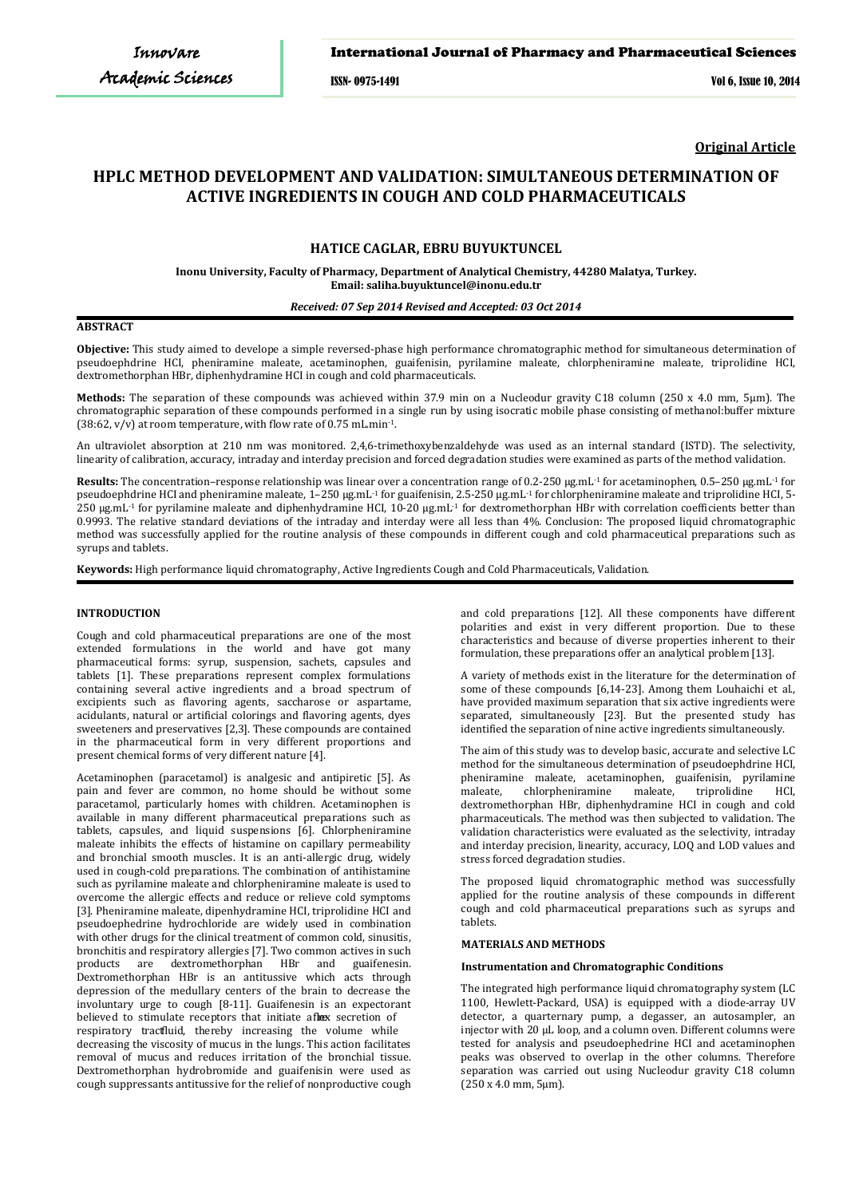# International Journal of Pharmacy and Pharmaceutical Sciences

ISSN- 0975-1491 Vol 6, Issue 10, 2014

**Original Article**

# **HPLC METHOD DEVELOPMENT AND VALIDATION: SIMULTANEOUS DETERMINATION OF ACTIVE INGREDIENTS IN COUGH AND COLD PHARMACEUTICALS**

# **HATICE CAGLAR, EBRU BUYUKTUNCEL**

**Inonu University, Faculty of Pharmacy, Department of Analytical Chemistry, 44280 Malatya, Turkey. Email: saliha.buyuktuncel@inonu.edu.tr**

### *Received: 07 Sep 2014 Revised and Accepted: 03 Oct 2014*

# **ABSTRACT**

**Objective:** This study aimed to develope a simple reversed-phase high performance chromatographic method for simultaneous determination of pseudoephdrine HCI, pheniramine maleate, acetaminophen, guaifenisin, pyrilamine maleate, chlorpheniramine maleate, triprolidine HCI, dextromethorphan HBr, diphenhydramine HCI in cough and cold pharmaceuticals.

**Methods:** The separation of these compounds was achieved within 37.9 min on a Nucleodur gravity C18 column (250 x 4.0 mm, 5μm). The chromatographic separation of these compounds performed in a single run by using isocratic mobile phase consisting of methanol:buffer mixture (38:62,  $v/v$ ) at room temperature, with flow rate of 0.75 mL.min<sup>-1</sup>.

An ultraviolet absorption at 210 nm was monitored. 2,4,6-trimethoxybenzaldehyde was used as an internal standard (ISTD). The selectivity, linearity of calibration, accuracy, intraday and interday precision and forced degradation studies were examined as parts of the method validation.

Results: The concentration–response relationship was linear over a concentration range of 0.2-250 µg.mL<sup>-1</sup> for acetaminophen, 0.5–250 µg.mL<sup>-1</sup> for pseudoephdrine HCI and pheniramine maleate, 1-250 µg.mL<sup>-1</sup> for guaifenisin, 2.5-250 µg.mL<sup>-1</sup> for chlorpheniramine maleate and triprolidine HCI, 5- $250 \text{ kg} \cdot \text{m}$ L<sup>-1</sup> for pyrilamine maleate and diphenhydramine HCl, 10-20  $\text{u} \text{g} \cdot \text{m}$ L<sup>-1</sup> for dextromethorphan HBr with correlation coefficients better than 0.9993. The relative standard deviations of the intraday and interday were all less than 4%. Conclusion: The proposed liquid chromatographic method was successfully applied for the routine analysis of these compounds in different cough and cold pharmaceutical preparations such as syrups and tablets.

**Keywords:** High performance liquid chromatography, Active Ingredients Cough and Cold Pharmaceuticals, Validation.

### **INTRODUCTION**

Cough and cold pharmaceutical preparations are one of the most extended formulations in the world and have got many pharmaceutical forms: syrup, suspension, sachets, capsules and tablets [1]. These preparations represent complex formulations containing several active ingredients and a broad spectrum of excipients such as flavoring agents, saccharose or aspartame, acidulants, natural or artificial colorings and flavoring agents, dyes sweeteners and preservatives [2,3]. These compounds are contained in the pharmaceutical form in very different proportions and present chemical forms of very different nature [4].

Acetaminophen (paracetamol) is analgesic and antipiretic [5]. As pain and fever are common, no home should be without some paracetamol, particularly homes with children. Acetaminophen is available in many different pharmaceutical preparations such as tablets, capsules, and liquid suspensions [6]. Chlorpheniramine maleate inhibits the effects of histamine on capillary permeability and bronchial smooth muscles. It is an anti-allergic drug, widely used in cough-cold preparations. The combination of antihistamine such as pyrilamine maleate and chlorpheniramine maleate is used to overcome the allergic effects and reduce or relieve cold symptoms [3]. Pheniramine maleate, dipenhydramine HCI, triprolidine HCI and pseudoephedrine hydrochloride are widely used in combination with other drugs for the clinical treatment of common cold, sinusitis, bronchitis and respiratory allergies [7]. Two common actives in such products are dextromethorphan HBr and guaifenesin. HBr and guaifenesin. Dextromethorphan HBr is an antitussive which acts through depression of the medullary centers of the brain to decrease the involuntary urge to cough [8-11]. Guaifenesin is an expectorant believed to stimulate receptors that initiate a flex secretion of respiratory tractluid, thereby increasing the volume while decreasing the viscosity of mucus in the lungs. This action facilitates removal of mucus and reduces irritation of the bronchial tissue. Dextromethorphan hydrobromide and guaifenisin were used as cough suppressants antitussive for the relief of nonproductive cough

and cold preparations [12]. All these components have different polarities and exist in very different proportion. Due to these characteristics and because of diverse properties inherent to their formulation, these preparations offer an analytical problem [13].

A variety of methods exist in the literature for the determination of some of these compounds [6,14-23]. Among them Louhaichi et al., have provided maximum separation that six active ingredients were separated, simultaneously [23]. But the presented study has identified the separation of nine active ingredients simultaneously.

The aim of this study was to develop basic, accurate and selective LC method for the simultaneous determination of pseudoephdrine HCI, pheniramine maleate, acetaminophen, guaifenisin, pyrilamine chlorpheniramine dextromethorphan HBr, diphenhydramine HCI in cough and cold pharmaceuticals. The method was then subjected to validation. The validation characteristics were evaluated as the selectivity, intraday and interday precision, linearity, accuracy, LOQ and LOD values and stress forced degradation studies.

The proposed liquid chromatographic method was successfully applied for the routine analysis of these compounds in different cough and cold pharmaceutical preparations such as syrups and tablets.

#### **MATERIALS AND METHODS**

#### **Instrumentation and Chromatographic Conditions**

The integrated high performance liquid chromatography system (LC 1100, Hewlett-Packard, USA) is equipped with a diode-array UV detector, a quarternary pump, a degasser, an autosampler, an injector with 20 µL loop, and a column oven. Different columns were tested for analysis and pseudoephedrine HCI and acetaminophen peaks was observed to overlap in the other columns. Therefore separation was carried out using Nucleodur gravity C18 column (250 x 4.0 mm, 5μm).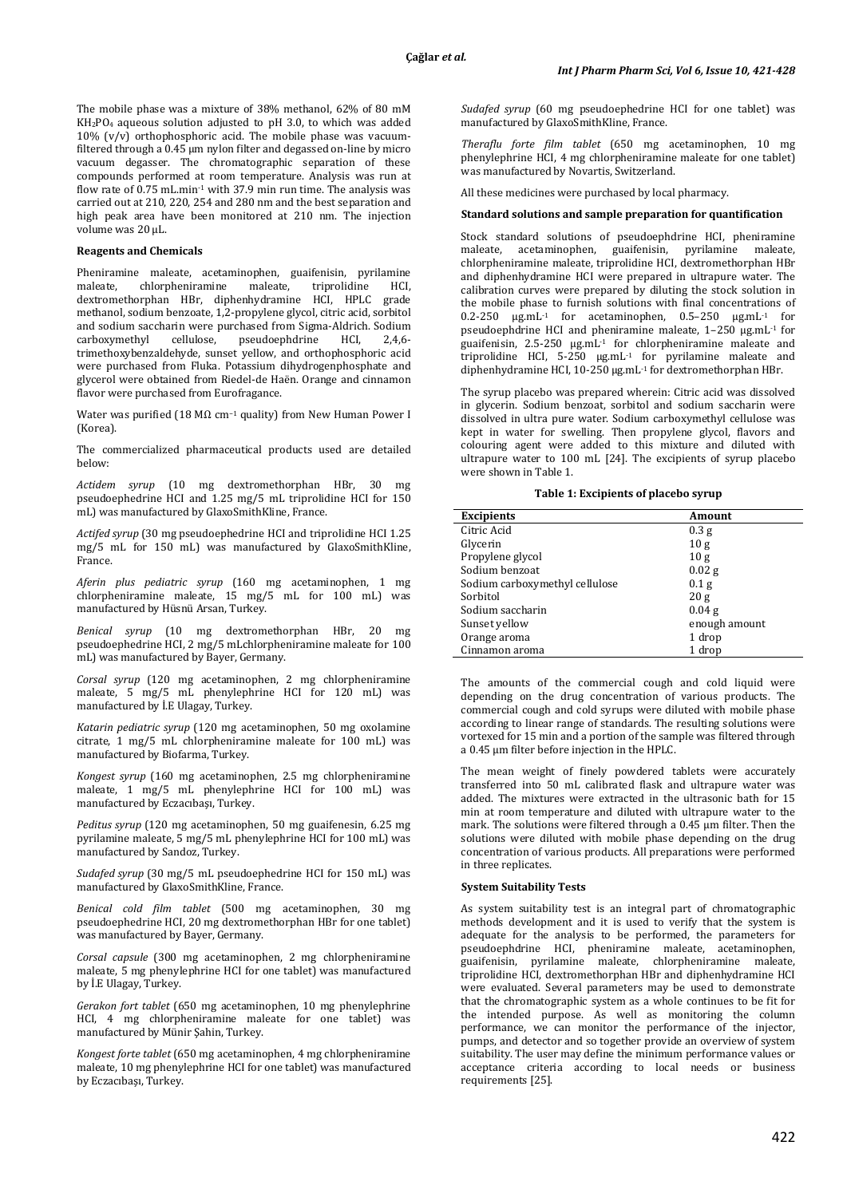The mobile phase was a mixture of 38% methanol, 62% of 80 mM KH2PO4 aqueous solution adjusted to pH 3.0, to which was added  $10\%$  (v/v) orthophosphoric acid. The mobile phase was vacuumfiltered through a 0.45 μm nylon filter and degassed on-line by micro vacuum degasser. The chromatographic separation of these compounds performed at room temperature. Analysis was run at flow rate of  $0.75$  mL min<sup>-1</sup> with 37.9 min run time. The analysis was carried out at 210, 220, 254 and 280 nm and the best separation and high peak area have been monitored at 210 nm. The injection volume was 20 μL.

# **Reagents and Chemicals**

Pheniramine maleate, acetaminophen, guaifenisin, pyrilamine chlorpheniramine dextromethorphan HBr, diphenhydramine HCI, HPLC grade methanol, sodium benzoate, 1,2-propylene glycol, citric acid, sorbitol and sodium saccharin were purchased from Sigma-Aldrich. Sodium carboxymethyl cellulose. pseudoephdrine HCl. 2.4.6carboxymethyl cellulose, pseudoephdrine HCI, 2,4,6 trimethoxybenzaldehyde, sunset yellow, and orthophosphoric acid were purchased from Fluka. Potassium dihydrogenphosphate and glycerol were obtained from Riedel-de Haën. Orange and cinnamon flavor were purchased from Eurofragance.

Water was purified (18 M $\Omega$  cm<sup>-1</sup> quality) from New Human Power I (Korea).

The commercialized pharmaceutical products used are detailed below:

*Actidem syrup* (10 mg dextromethorphan HBr, 30 mg pseudoephedrine HCI and 1.25 mg/5 mL triprolidine HCI for 150 mL) was manufactured by GlaxoSmithKline, France.

*Actifed syrup* (30 mg pseudoephedrine HCI and triprolidine HCI 1.25 mg/5 mL for 150 mL) was manufactured by GlaxoSmithKline, France.

*Aferin plus pediatric syrup* (160 mg acetaminophen, 1 mg chlorpheniramine maleate,  $15 \text{ mg}/5$  mL for  $100 \text{ mL}$ ) was manufactured by Hüsnü Arsan, Turkey.

*Benical syrup* (10 mg dextromethorphan HBr, 20 mg pseudoephedrine HCI, 2 mg/5 mLchlorpheniramine maleate for 100 mL) was manufactured by Bayer, Germany.

*Corsal syrup* (120 mg acetaminophen, 2 mg chlorpheniramine maleate, 5 mg/5 mL phenylephrine HCI for 120 mL) was manufactured by İ.E Ulagay, Turkey.

*Katarin pediatric syrup* (120 mg acetaminophen, 50 mg oxolamine citrate, 1 mg/5 mL chlorpheniramine maleate for 100 mL) was manufactured by Biofarma, Turkey.

*Kongest syrup* (160 mg acetaminophen, 2.5 mg chlorpheniramine maleate, 1 mg/5 mL phenylephrine HCI for 100 mL) was manufactured by Eczacıbaşı, Turkey.

*Peditus syrup* (120 mg acetaminophen, 50 mg guaifenesin, 6.25 mg pyrilamine maleate, 5 mg/5 mL phenylephrine HCI for 100 mL) was manufactured by Sandoz, Turkey.

*Sudafed syrup* (30 mg/5 mL pseudoephedrine HCI for 150 mL) was manufactured by GlaxoSmithKline, France.

*Benical cold film tablet* (500 mg acetaminophen, 30 mg pseudoephedrine HCI, 20 mg dextromethorphan HBr for one tablet) was manufactured by Bayer, Germany.

*Corsal capsule* (300 mg acetaminophen, 2 mg chlorpheniramine maleate, 5 mg phenylephrine HCI for one tablet) was manufactured by İ.E Ulagay, Turkey.

*Gerakon fort tablet* (650 mg acetaminophen, 10 mg phenylephrine HCI, 4 mg chlorpheniramine maleate for one tablet) was manufactured by Münir Şahin, Turkey.

*Kongest forte tablet* (650 mg acetaminophen, 4 mg chlorpheniramine maleate, 10 mg phenylephrine HCI for one tablet) was manufactured by Eczacıbaşı, Turkey.

*Sudafed syrup* (60 mg pseudoephedrine HCI for one tablet) was manufactured by GlaxoSmithKline, France.

*Theraflu forte film tablet* (650 mg acetaminophen, 10 mg phenylephrine HCI, 4 mg chlorpheniramine maleate for one tablet) was manufactured by Novartis, Switzerland.

All these medicines were purchased by local pharmacy.

### **Standard solutions and sample preparation for quantification**

Stock standard solutions of pseudoephdrine HCI, pheniramine maleate, acetaminophen, guaifenisin, pyrilamine maleate, acetaminophen, guaifenisin, pyrilamine maleate, chlorpheniramine maleate, triprolidine HCI, dextromethorphan HBr and diphenhydramine HCI were prepared in ultrapure water. The calibration curves were prepared by diluting the stock solution in the mobile phase to furnish solutions with final concentrations of 0.2-250  $\mu$ g.mL<sup>-1</sup> for acetaminophen, 0.5-250  $\mu$ g.mL<sup>-1</sup> for pseudoephdrine HCI and pheniramine maleate, 1–250 µg.mL-1 for guaifenisin, 2.5-250 µg.mL-1 for chlorpheniramine maleate and triprolidine HCI,  $5-250 \text{ µg.mL}^{-1}$  for pyrilamine maleate and diphenhydramine HCI, 10-250 µg.mL-1 for dextromethorphan HBr.

The syrup placebo was prepared wherein: Citric acid was dissolved in glycerin. Sodium benzoat, sorbitol and sodium saccharin were dissolved in ultra pure water. Sodium carboxymethyl cellulose was kept in water for swelling. Then propylene glycol, flavors and colouring agent were added to this mixture and diluted with ultrapure water to 100 mL [24]. The excipients of syrup placebo were shown in Table 1.

### **Table 1: Excipients of placebo syrup**

| <b>Excipients</b>              | Amount            |
|--------------------------------|-------------------|
| Citric Acid                    | 0.3 <sub>g</sub>  |
| Glycerin                       | 10g               |
| Propylene glycol               | 10g               |
| Sodium benzoat                 | $0.02$ g          |
| Sodium carboxymethyl cellulose | 0.1 <sub>g</sub>  |
| Sorbitol                       | 20g               |
| Sodium saccharin               | 0.04 <sub>g</sub> |
| Sunset yellow                  | enough amount     |
| Orange aroma                   | 1 drop            |
| Cinnamon aroma                 | 1 drop            |

The amounts of the commercial cough and cold liquid were depending on the drug concentration of various products. The commercial cough and cold syrups were diluted with mobile phase according to linear range of standards. The resulting solutions were vortexed for 15 min and a portion of the sample was filtered through a 0.45 µm filter before injection in the HPLC.

The mean weight of finely powdered tablets were accurately transferred into 50 mL calibrated flask and ultrapure water was added. The mixtures were extracted in the ultrasonic bath for 15 min at room temperature and diluted with ultrapure water to the mark. The solutions were filtered through a 0.45 µm filter. Then the solutions were diluted with mobile phase depending on the drug concentration of various products. All preparations were performed in three replicates.

### **System Suitability Tests**

As system suitability test is an integral part of chromatographic methods development and it is used to verify that the system is adequate for the analysis to be performed, the parameters for pseudoephdrine HCI, pheniramine maleate, acetaminophen, guaifenisin, pyrilamine maleate, chlorpheniramine maleate, triprolidine HCI, dextromethorphan HBr and diphenhydramine HCI were evaluated. Several parameters may be used to demonstrate that the chromatographic system as a whole continues to be fit for the intended purpose. As well as monitoring the column performance, we can monitor the performance of the injector, pumps, and detector and so together provide an overview of system suitability. The user may define the minimum performance values or acceptance criteria according to local needs or business requirements [25].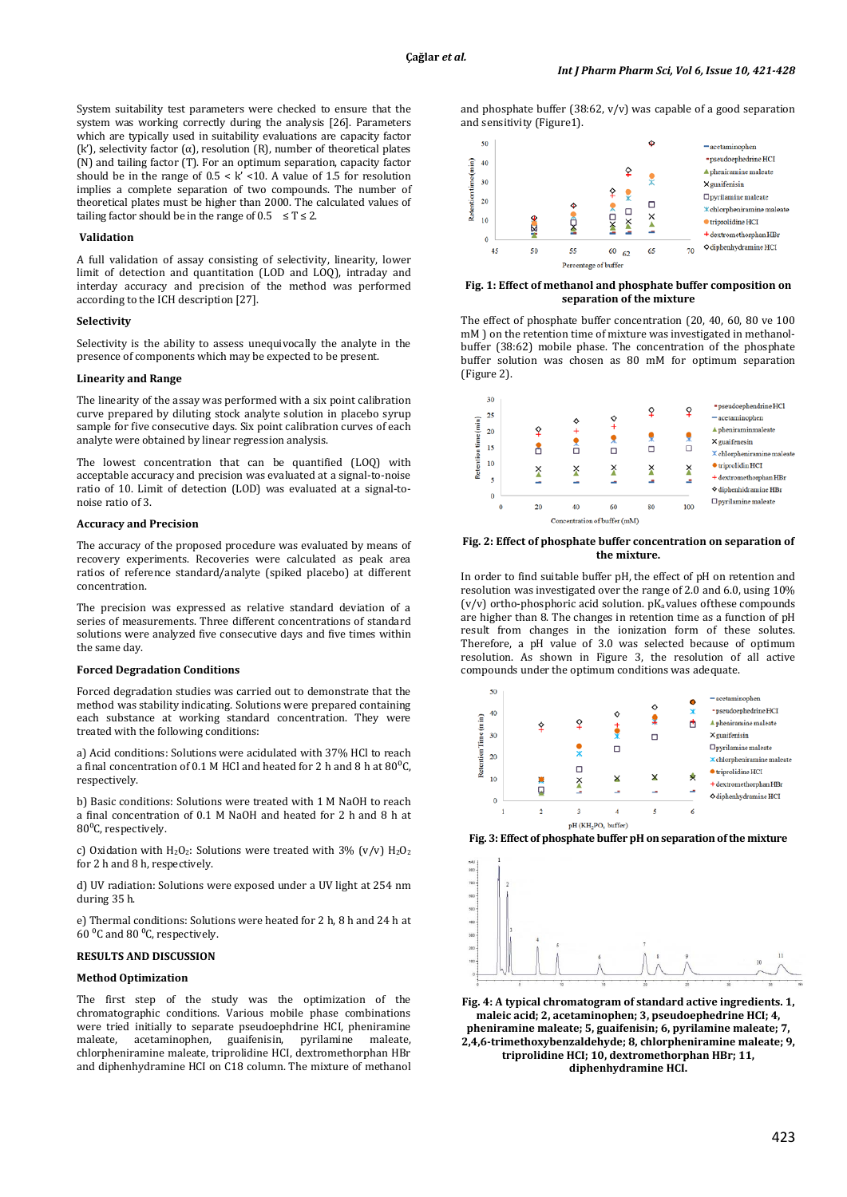System suitability test parameters were checked to ensure that the system was working correctly during the analysis [26]. Parameters which are typically used in suitability evaluations are capacity factor (k'), selectivity factor (α), resolution (R), number of theoretical plates (N) and tailing factor (T). For an optimum separation, capacity factor should be in the range of  $0.5 < k' < 10$ . A value of 1.5 for resolution implies a complete separation of two compounds. The number of theoretical plates must be higher than 2000. The calculated values of tailing factor should be in the range of  $0.5 \le T \le 2$ .

### **Validation**

A full validation of assay consisting of selectivity, linearity, lower limit of detection and quantitation (LOD and LOQ), intraday and interday accuracy and precision of the method was performed according to the ICH description [27].

#### **Selectivity**

Selectivity is the ability to assess unequivocally the analyte in the presence of components which may be expected to be present.

# **Linearity and Range**

The linearity of the assay was performed with a six point calibration curve prepared by diluting stock analyte solution in placebo syrup sample for five consecutive days. Six point calibration curves of each analyte were obtained by linear regression analysis.

The lowest concentration that can be quantified (LOQ) with acceptable accuracy and precision was evaluated at a signal-to-noise ratio of 10. Limit of detection (LOD) was evaluated at a signal-tonoise ratio of 3.

# **Accuracy and Precision**

The accuracy of the proposed procedure was evaluated by means of recovery experiments. Recoveries were calculated as peak area ratios of reference standard/analyte (spiked placebo) at different concentration.

The precision was expressed as relative standard deviation of a series of measurements. Three different concentrations of standard solutions were analyzed five consecutive days and five times within the same day.

#### **Forced Degradation Conditions**

Forced degradation studies was carried out to demonstrate that the method was stability indicating. Solutions were prepared containing each substance at working standard concentration. They were treated with the following conditions:

a) Acid conditions: Solutions were acidulated with 37% HCl to reach a final concentration of 0.1 M HCl and heated for 2 h and 8 h at  $80^{\circ}$ C, respectively.

b) Basic conditions: Solutions were treated with 1 M NaOH to reach a final concentration of 0.1 M NaOH and heated for 2 h and 8 h at 80<sup>o</sup>C, respectively.

c) Oxidation with H<sub>2</sub>O<sub>2</sub>: Solutions were treated with 3% (v/v) H<sub>2</sub>O<sub>2</sub> for 2 h and 8 h, respectively.

d) UV radiation: Solutions were exposed under a UV light at 254 nm during 35 h.

e) Thermal conditions: Solutions were heated for 2 h, 8 h and 24 h at  $60<sup>0</sup>C$  and  $80<sup>0</sup>C$ , respectively.

# **RESULTS AND DISCUSSION**

### **Method Optimization**

The first step of the study was the optimization of the chromatographic conditions. Various mobile phase combinations were tried initially to separate pseudoephdrine HCI, pheniramine maleate, acetaminophen, guaifenisin, pyrilamine maleate, chlorpheniramine maleate, triprolidine HCI, dextromethorphan HBr and diphenhydramine HCI on C18 column. The mixture of methanol





# **Fig. 1: Effect of methanol and phosphate buffer composition on separation of the mixture**

The effect of phosphate buffer concentration (20, 40, 60, 80 ve 100 mM ) on the retention time of mixture was investigated in methanolbuffer (38:62) mobile phase. The concentration of the phosphate buffer solution was chosen as 80 mM for optimum separation (Figure 2).



#### **Fig. 2: Effect of phosphate buffer concentration on separation of the mixture.**

In order to find suitable buffer pH, the effect of pH on retention and resolution was investigated over the range of 2.0 and 6.0, using 10%  $(v/v)$  ortho-phosphoric acid solution.  $pK_a$  values of these compounds are higher than 8. The changes in retention time as a function of pH result from changes in the ionization form of these solutes. Therefore, a pH value of 3.0 was selected because of optimum resolution. As shown in Figure 3, the resolution of all active compounds under the optimum conditions was adequate.







**Fig. 4: A typical chromatogram of standard active ingredients. 1, maleic acid; 2, acetaminophen; 3, pseudoephedrine HCI; 4, pheniramine maleate; 5, guaifenisin; 6, pyrilamine maleate; 7, 2,4,6-trimethoxybenzaldehyde; 8, chlorpheniramine maleate; 9, triprolidine HCI; 10, dextromethorphan HBr; 11, diphenhydramine HCI.**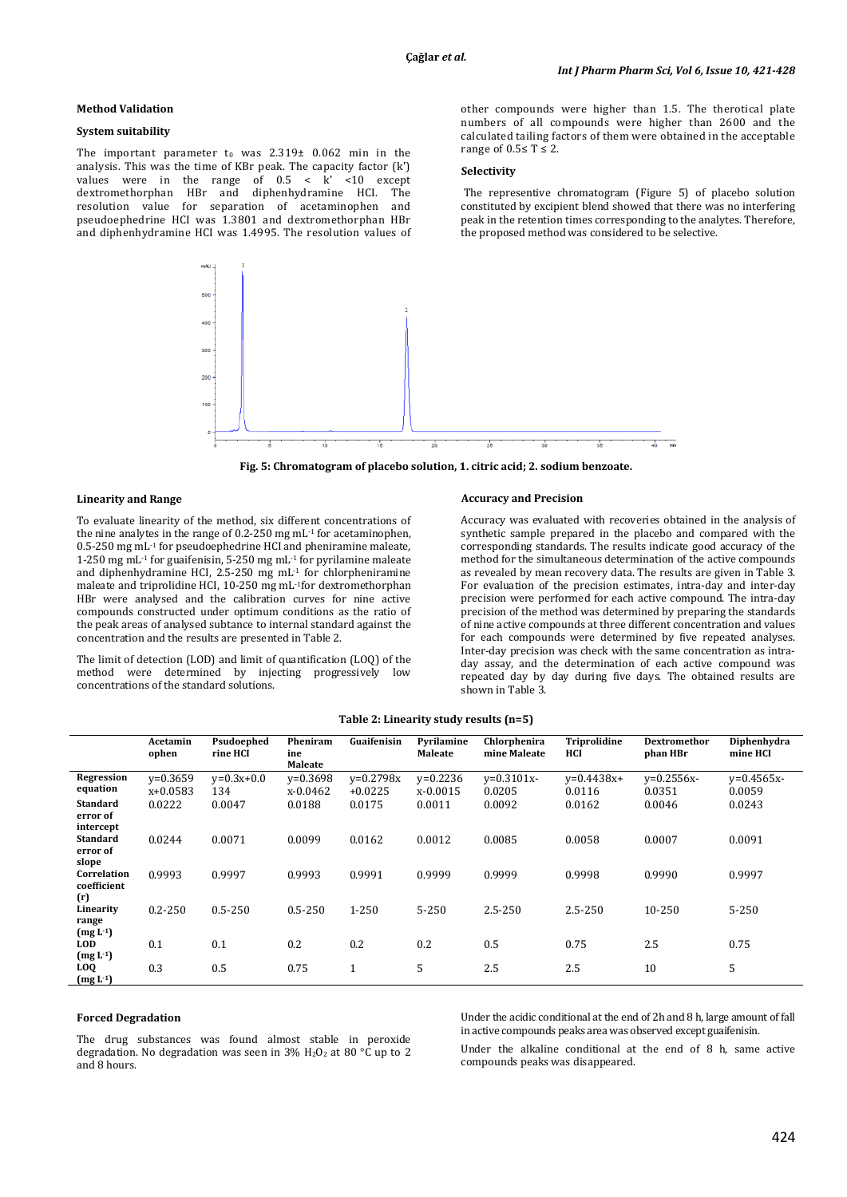# **Method Validation**

# **System suitability**

The important parameter to was  $2.319\pm 0.062$  min in the analysis. This was the time of KBr peak. The capacity factor (k') values were in the range of  $0.5 < k' < 10$  except dextromethorphan HBr and diphenhydramine HCI. The resolution value for separation of acetaminophen pseudoephedrine HCI was 1.3801 and dextromethorphan HBr and diphenhydramine HCI was 1.4995. The resolution values of other compounds were higher than 1.5. The therotical plate numbers of all compounds were higher than 2600 and the calculated tailing factors of them were obtained in the acceptable range of  $0.5 \leq T \leq 2$ .

# **Selectivity**

The representive chromatogram (Figure 5) of placebo solution constituted by excipient blend showed that there was no interfering peak in the retention times corresponding to the analytes. Therefore, the proposed method was considered to be selective.



**Fig. 5: Chromatogram of placebo solution, 1. citric acid; 2. sodium benzoate.**

#### **Linearity and Range**

To evaluate linearity of the method, six different concentrations of the nine analytes in the range of 0.2-250 mg mL-1 for acetaminophen, 0.5-250 mg mL-1 for pseudoephedrine HCI and pheniramine maleate, 1-250 mg mL-1 for guaifenisin, 5-250 mg mL-1 for pyrilamine maleate and diphenhydramine HCI, 2.5-250 mg mL-1 for chlorpheniramine maleate and triprolidine HCI, 10-250 mg mL-1for dextromethorphan HBr were analysed and the calibration curves for nine active compounds constructed under optimum conditions as the ratio of the peak areas of analysed subtance to internal standard against the concentration and the results are presented in Table 2.

The limit of detection (LOD) and limit of quantification (LOQ) of the method were determined by injecting progressively low concentrations of the standard solutions.

#### **Accuracy and Precision**

Accuracy was evaluated with recoveries obtained in the analysis of synthetic sample prepared in the placebo and compared with the corresponding standards. The results indicate good accuracy of the method for the simultaneous determination of the active compounds as revealed by mean recovery data. The results are given in Table 3. For evaluation of the precision estimates, intra-day and inter-day precision were performed for each active compound. The intra-day precision of the method was determined by preparing the standards of nine active compounds at three different concentration and values for each compounds were determined by five repeated analyses. Inter-day precision was check with the same concentration as intraday assay, and the determination of each active compound was repeated day by day during five days. The obtained results are shown in Table 3.

|  | Table 2: Linearity study results (n=5) |  |  |  |
|--|----------------------------------------|--|--|--|
|--|----------------------------------------|--|--|--|

|                          | Acetamin<br>ophen | Psudoephed<br>rine HCI | Pheniram<br>ine<br>Maleate | Guaifenisin   | Pyrilamine<br><b>Maleate</b> | Chlorphenira<br>mine Maleate | <b>Triprolidine</b><br>HCI | <b>Dextromethor</b><br>phan HBr | Diphenhydra<br>mine HCI |
|--------------------------|-------------------|------------------------|----------------------------|---------------|------------------------------|------------------------------|----------------------------|---------------------------------|-------------------------|
| Regression               | $v=0.3659$        | $v=0.3x+0.0$           | $v=0.3698$                 | $v = 0.2798x$ | $y=0.2236$                   | $v = 0.3101x -$              | $v=0.4438x+$               | $v = 0.2556x -$                 | $y=0.4565x-$            |
| equation                 | $x+0.0583$        | 134                    | x-0.0462                   | $+0.0225$     | x-0.0015                     | 0.0205                       | 0.0116                     | 0.0351                          | 0.0059                  |
| <b>Standard</b>          | 0.0222            | 0.0047                 | 0.0188                     | 0.0175        | 0.0011                       | 0.0092                       | 0.0162                     | 0.0046                          | 0.0243                  |
| error of                 |                   |                        |                            |               |                              |                              |                            |                                 |                         |
| intercept                |                   |                        |                            |               |                              |                              |                            |                                 |                         |
| <b>Standard</b>          | 0.0244            | 0.0071                 | 0.0099                     | 0.0162        | 0.0012                       | 0.0085                       | 0.0058                     | 0.0007                          | 0.0091                  |
| error of<br>slope        |                   |                        |                            |               |                              |                              |                            |                                 |                         |
| Correlation              | 0.9993            | 0.9997                 | 0.9993                     | 0.9991        | 0.9999                       | 0.9999                       | 0.9998                     | 0.9990                          | 0.9997                  |
| coefficient              |                   |                        |                            |               |                              |                              |                            |                                 |                         |
| (r)                      |                   |                        |                            |               |                              |                              |                            |                                 |                         |
| Linearity                | $0.2 - 250$       | $0.5 - 250$            | $0.5 - 250$                | 1-250         | $5 - 250$                    | $2.5 - 250$                  | 2.5-250                    | 10-250                          | $5 - 250$               |
| range                    |                   |                        |                            |               |                              |                              |                            |                                 |                         |
| $(mg L-1)$               |                   |                        |                            |               |                              |                              |                            |                                 |                         |
| <b>LOD</b>               | 0.1               | 0.1                    | 0.2                        | 0.2           | 0.2                          | 0.5                          | 0.75                       | 2.5                             | 0.75                    |
| $(mg L-1)$               |                   |                        |                            |               |                              |                              |                            |                                 |                         |
| <b>LOQ</b><br>$(mg L-1)$ | 0.3               | 0.5                    | 0.75                       | 1             | 5                            | 2.5                          | 2.5                        | 10                              | 5                       |

#### **Forced Degradation**

The drug substances was found almost stable in peroxide degradation. No degradation was seen in 3%  $H_2O_2$  at 80 °C up to 2 and 8 hours.

Under the acidic conditional at the end of 2h and 8 h, large amount of fall in active compounds peaks area was observed except guaifenisin.

Under the alkaline conditional at the end of 8 h, same active compounds peaks was disappeared.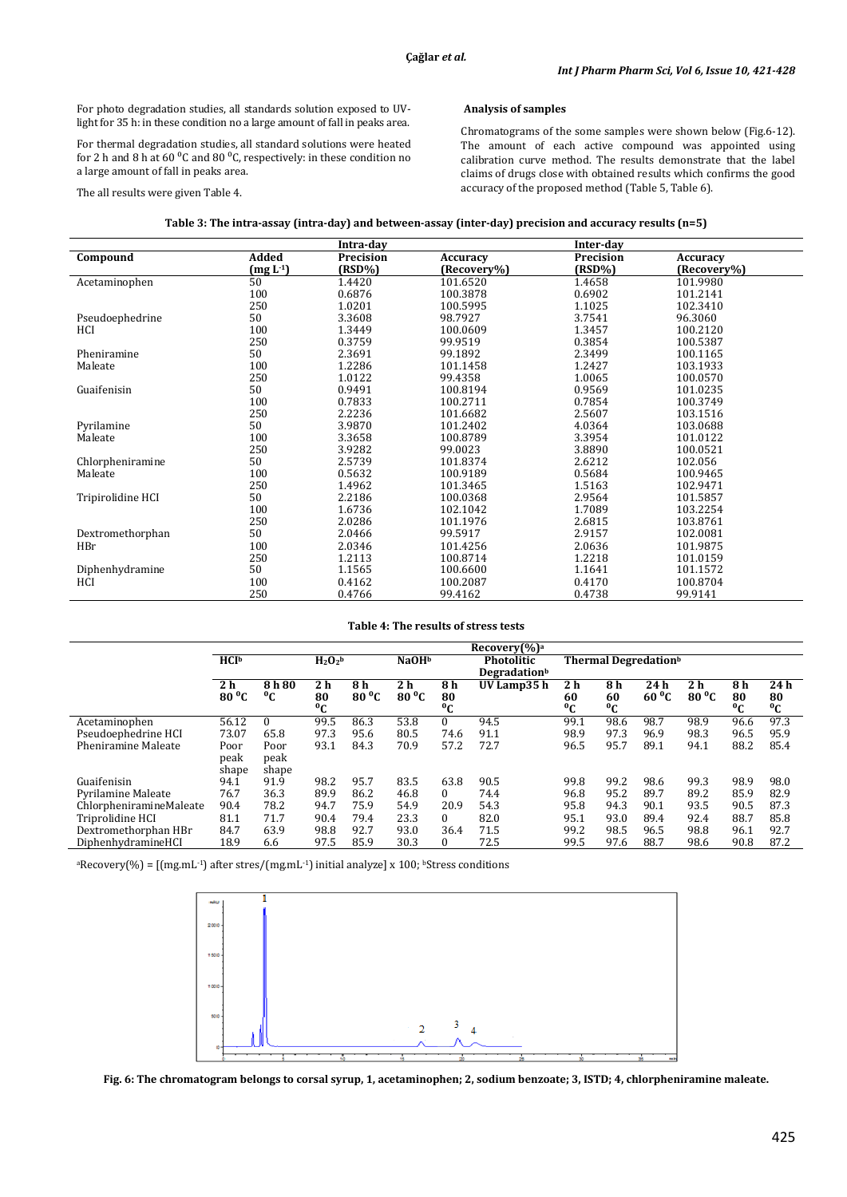For photo degradation studies, all standards solution exposed to UVlight for 35 h: in these condition no a large amount of fall in peaks area.

For thermal degradation studies, all standard solutions were heated for 2 h and 8 h at 60  $\degree$ C and 80  $\degree$ C, respectively: in these condition no a large amount of fall in peaks area.

The all results were given Table 4.

# **Analysis of samples**

Chromatograms of the some samples were shown below (Fig.6-12). The amount of each active compound was appointed using calibration curve method. The results demonstrate that the label claims of drugs close with obtained results which confirms the good accuracy of the proposed method (Table 5, Table 6).

|                   |            | Intra-day |                 | Inter-day |                 |
|-------------------|------------|-----------|-----------------|-----------|-----------------|
| Compound          | Added      | Precision | <b>Accuracy</b> | Precision | <b>Accuracy</b> |
|                   | $(mg L-1)$ | (RSD%)    | (Recovery%)     | (RSD%)    | (Recovery%)     |
| Acetaminophen     | 50         | 1.4420    | 101.6520        | 1.4658    | 101.9980        |
|                   | 100        | 0.6876    | 100.3878        | 0.6902    | 101.2141        |
|                   | 250        | 1.0201    | 100.5995        | 1.1025    | 102.3410        |
| Pseudoephedrine   | 50         | 3.3608    | 98.7927         | 3.7541    | 96.3060         |
| HCI               | 100        | 1.3449    | 100.0609        | 1.3457    | 100.2120        |
|                   | 250        | 0.3759    | 99.9519         | 0.3854    | 100.5387        |
| Pheniramine       | 50         | 2.3691    | 99.1892         | 2.3499    | 100.1165        |
| Maleate           | 100        | 1.2286    | 101.1458        | 1.2427    | 103.1933        |
|                   | 250        | 1.0122    | 99.4358         | 1.0065    | 100.0570        |
| Guaifenisin       | 50         | 0.9491    | 100.8194        | 0.9569    | 101.0235        |
|                   | 100        | 0.7833    | 100.2711        | 0.7854    | 100.3749        |
|                   | 250        | 2.2236    | 101.6682        | 2.5607    | 103.1516        |
| Pyrilamine        | 50         | 3.9870    | 101.2402        | 4.0364    | 103.0688        |
| Maleate           | 100        | 3.3658    | 100.8789        | 3.3954    | 101.0122        |
|                   | 250        | 3.9282    | 99.0023         | 3.8890    | 100.0521        |
| Chlorpheniramine  | 50         | 2.5739    | 101.8374        | 2.6212    | 102.056         |
| Maleate           | 100        | 0.5632    | 100.9189        | 0.5684    | 100.9465        |
|                   | 250        | 1.4962    | 101.3465        | 1.5163    | 102.9471        |
| Tripirolidine HCI | 50         | 2.2186    | 100.0368        | 2.9564    | 101.5857        |
|                   | 100        | 1.6736    | 102.1042        | 1.7089    | 103.2254        |
|                   | 250        | 2.0286    | 101.1976        | 2.6815    | 103.8761        |
| Dextromethorphan  | 50         | 2.0466    | 99.5917         | 2.9157    | 102.0081        |
| HBr               | 100        | 2.0346    | 101.4256        | 2.0636    | 101.9875        |
|                   | 250        | 1.2113    | 100.8714        | 1.2218    | 101.0159        |
| Diphenhydramine   | 50         | 1.1565    | 100.6600        | 1.1641    | 101.1572        |
| HCI               | 100        | 0.4162    | 100.2087        | 0.4170    | 100.8704        |
|                   | 250        | 0.4766    | 99.4162         | 0.4738    | 99.9141         |

### **Table 4: The results of stress tests**

|                         | $Recovery$ (%) <sup>a</sup>               |             |                                        |                |                |                                  |             |                   |                      |                |                |                   |             |
|-------------------------|-------------------------------------------|-------------|----------------------------------------|----------------|----------------|----------------------------------|-------------|-------------------|----------------------|----------------|----------------|-------------------|-------------|
|                         | HCI <sup>b</sup><br>$H_2O_2$ <sup>b</sup> |             | NaOH <sup>b</sup><br><b>Photolitic</b> |                |                | Thermal Degredation <sup>b</sup> |             |                   |                      |                |                |                   |             |
|                         |                                           |             |                                        |                |                | Degradationb                     |             |                   |                      |                |                |                   |             |
|                         | 2 <sub>h</sub>                            | 8 h 80      | 2 <sub>h</sub>                         | 8 h            | 2 h            | 8 h                              | UV Lamp35 h | 2 h               | 8 h                  | 24h            | 2 <sub>h</sub> | 8h                | 24 h        |
|                         | $80^{\circ}$ C                            | $\rm ^{o}C$ | 80<br>°C                               | $80\text{ °C}$ | $80^{\circ}$ C | 80<br>$^0C$                      |             | 60<br>$\rm ^{0}C$ | 60<br><sup>o</sup> C | $60^{\circ}$ C | $80^{\circ}$ C | 80<br>$\rm ^{o}C$ | 80<br>$^0C$ |
| Acetaminophen           | 56.12                                     | $\Omega$    | 99.5                                   | 86.3           | 53.8           | $\Omega$                         | 94.5        | 99.1              | 98.6                 | 98.7           | 98.9           | 96.6              | 97.3        |
| Pseudoephedrine HCI     | 73.07                                     | 65.8        | 97.3                                   | 95.6           | 80.5           | 74.6                             | 91.1        | 98.9              | 97.3                 | 96.9           | 98.3           | 96.5              | 95.9        |
| Pheniramine Maleate     | Poor                                      | Poor        | 93.1                                   | 84.3           | 70.9           | 57.2                             | 72.7        | 96.5              | 95.7                 | 89.1           | 94.1           | 88.2              | 85.4        |
|                         | peak                                      | peak        |                                        |                |                |                                  |             |                   |                      |                |                |                   |             |
|                         | shape                                     | shape       |                                        |                |                |                                  |             |                   |                      |                |                |                   |             |
| Guaifenisin             | 94.1                                      | 91.9        | 98.2                                   | 95.7           | 83.5           | 63.8                             | 90.5        | 99.8              | 99.2                 | 98.6           | 99.3           | 98.9              | 98.0        |
| Pyrilamine Maleate      | 76.7                                      | 36.3        | 89.9                                   | 86.2           | 46.8           | 0                                | 74.4        | 96.8              | 95.2                 | 89.7           | 89.2           | 85.9              | 82.9        |
| ChlorpheniramineMaleate | 90.4                                      | 78.2        | 94.7                                   | 75.9           | 54.9           | 20.9                             | 54.3        | 95.8              | 94.3                 | 90.1           | 93.5           | 90.5              | 87.3        |
| Triprolidine HCI        | 81.1                                      | 71.7        | 90.4                                   | 79.4           | 23.3           | 0                                | 82.0        | 95.1              | 93.0                 | 89.4           | 92.4           | 88.7              | 85.8        |
| Dextromethorphan HBr    | 84.7                                      | 63.9        | 98.8                                   | 92.7           | 93.0           | 36.4                             | 71.5        | 99.2              | 98.5                 | 96.5           | 98.8           | 96.1              | 92.7        |
| DiphenhydramineHCI      | 18.9                                      | 6.6         | 97.5                                   | 85.9           | 30.3           | 0                                | 72.5        | 99.5              | 97.6                 | 88.7           | 98.6           | 90.8              | 87.2        |

<sup>a</sup>Recovery(%) = [(mg.mL<sup>-1</sup>) after stres/(mg.mL<sup>-1</sup>) initial analyze] x 100; <sup>b</sup>Stress conditions



**Fig. 6: The chromatogram belongs to corsal syrup, 1, acetaminophen; 2, sodium benzoate; 3, ISTD; 4, chlorpheniramine maleate.**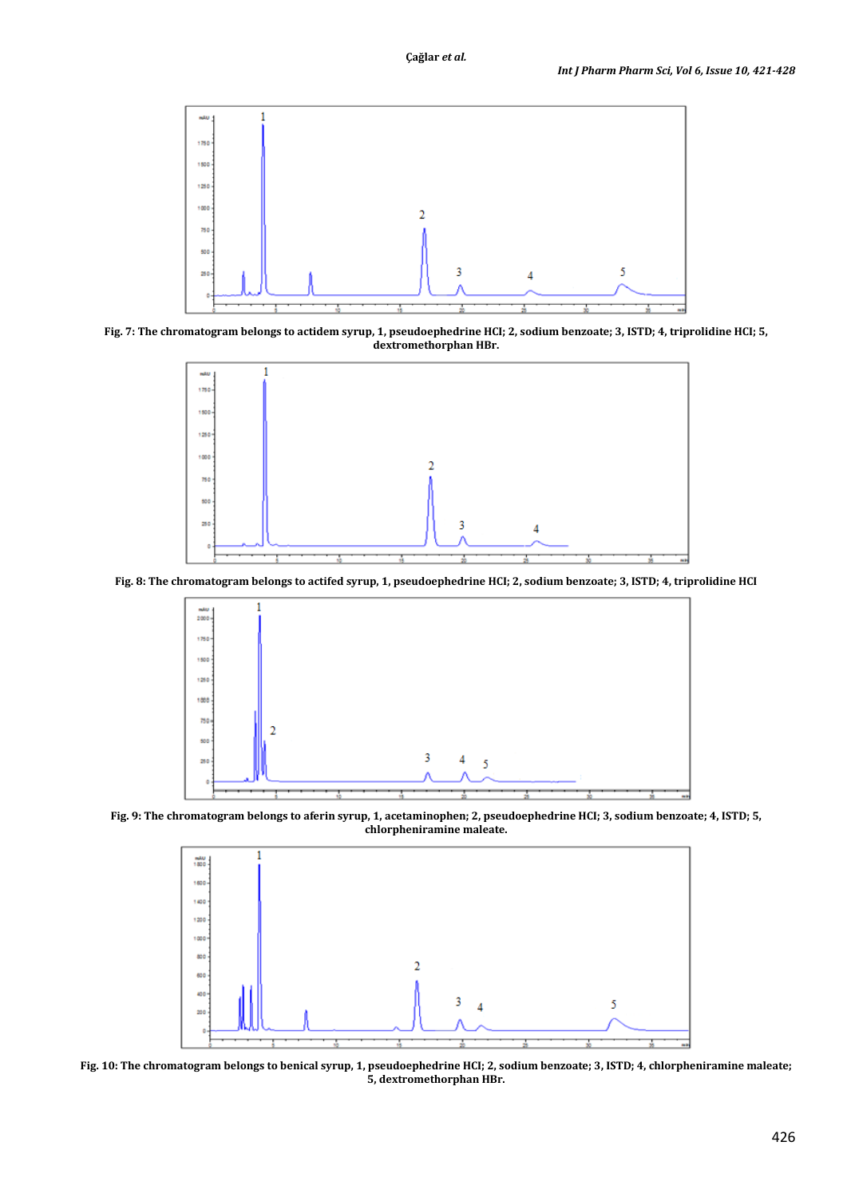

**Fig. 7: The chromatogram belongs to actidem syrup, 1, pseudoephedrine HCI; 2, sodium benzoate; 3, ISTD; 4, triprolidine HCI; 5, dextromethorphan HBr.**



**Fig. 8: The chromatogram belongs to actifed syrup, 1, pseudoephedrine HCI; 2, sodium benzoate; 3, ISTD; 4, triprolidine HCI**



**Fig. 9: The chromatogram belongs to aferin syrup, 1, acetaminophen; 2, pseudoephedrine HCI; 3, sodium benzoate; 4, ISTD; 5, chlorpheniramine maleate.**



**Fig. 10: The chromatogram belongs to benical syrup, 1, pseudoephedrine HCI; 2, sodium benzoate; 3, ISTD; 4, chlorpheniramine maleate; 5, dextromethorphan HBr.**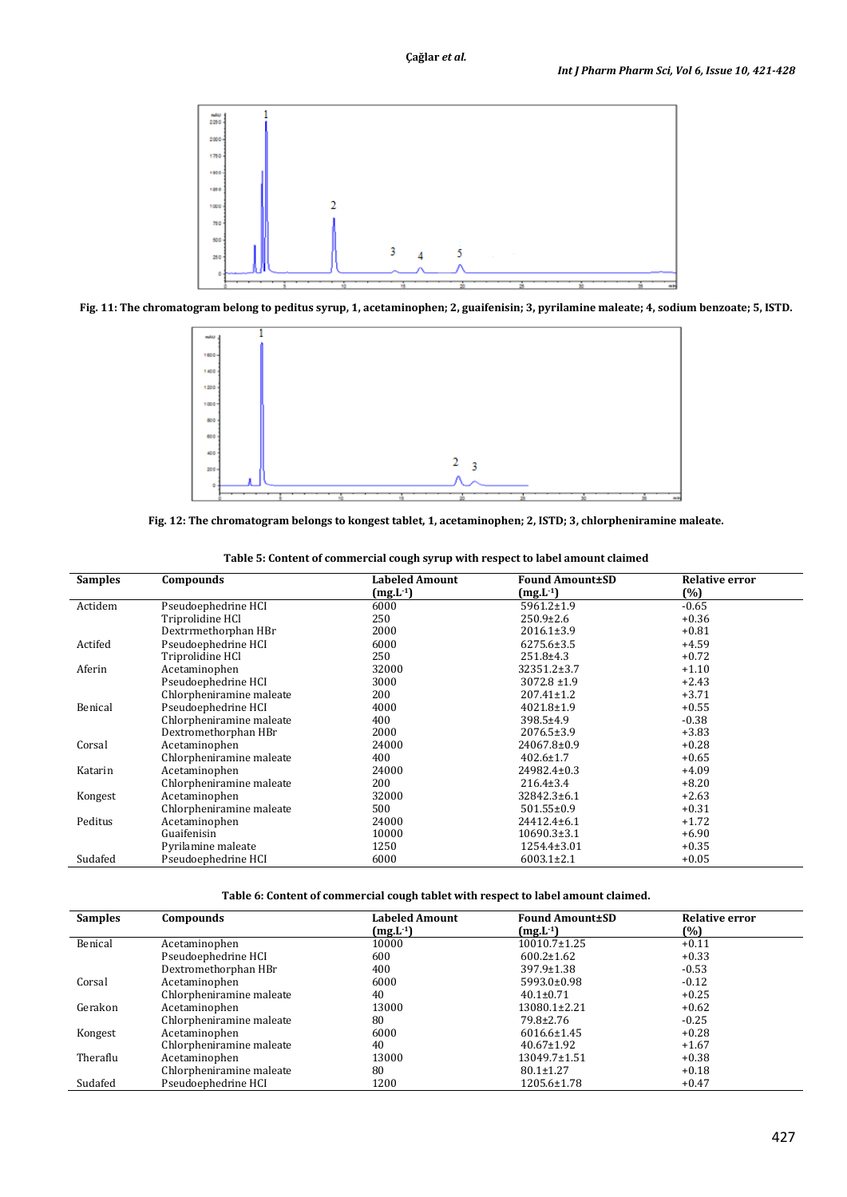

**Fig. 11: The chromatogram belong to peditus syrup, 1, acetaminophen; 2, guaifenisin; 3, pyrilamine maleate; 4, sodium benzoate; 5, ISTD.**



**Fig. 12: The chromatogram belongs to kongest tablet, 1, acetaminophen; 2, ISTD; 3, chlorpheniramine maleate.**

| <b>Samples</b> | Compounds                | Labeled Amount | <b>Found Amount±SD</b> | <b>Relative error</b> |
|----------------|--------------------------|----------------|------------------------|-----------------------|
|                |                          | $(mg.L^{-1})$  | $(mg.L^{-1})$          | $(\%)$                |
| Actidem        | Pseudoephedrine HCI      | 6000           | $5961.2 \pm 1.9$       | $-0.65$               |
|                | Triprolidine HCl         | 250            | $250.9 \pm 2.6$        | $+0.36$               |
|                | Dextrrmethorphan HBr     | 2000           | 2016.1±3.9             | $+0.81$               |
| Actifed        | Pseudoephedrine HCI      | 6000           | $6275.6 \pm 3.5$       | $+4.59$               |
|                | Triprolidine HCl         | 250            | $251.8 \pm 4.3$        | $+0.72$               |
| Aferin         | Acetaminophen            | 32000          | 32351.2±3.7            | $+1.10$               |
|                | Pseudoephedrine HCI      | 3000           | $3072.8 \pm 1.9$       | $+2.43$               |
|                | Chlorpheniramine maleate | 200            | $207.41 \pm 1.2$       | $+3.71$               |
| Benical        | Pseudoephedrine HCI      | 4000           | $4021.8 \pm 1.9$       | $+0.55$               |
|                | Chlorpheniramine maleate | 400            | $398.5 \pm 4.9$        | $-0.38$               |
|                | Dextromethorphan HBr     | 2000           | $2076.5 \pm 3.9$       | $+3.83$               |
| Corsal         | Acetaminophen            | 24000          | 24067.8±0.9            | $+0.28$               |
|                | Chlorpheniramine maleate | 400            | $402.6 \pm 1.7$        | $+0.65$               |
| Katarin        | Acetaminophen            | 24000          | 24982.4±0.3            | $+4.09$               |
|                | Chlorpheniramine maleate | 200            | $216.4 \pm 3.4$        | $+8.20$               |
| Kongest        | Acetaminophen            | 32000          | 32842.3±6.1            | $+2.63$               |
|                | Chlorpheniramine maleate | 500            | $501.55 \pm 0.9$       | $+0.31$               |
| Peditus        | Acetaminophen            | 24000          | 24412.4±6.1            | $+1.72$               |
|                | Guaifenisin              | 10000          | $10690.3 \pm 3.1$      | $+6.90$               |
|                | Pyrilamine maleate       | 1250           | 1254.4±3.01            | $+0.35$               |
| Sudafed        | Pseudoephedrine HCI      | 6000           | $6003.1 \pm 2.1$       | $+0.05$               |

**Table 5: Content of commercial cough syrup with respect to label amount claimed**

**Table 6: Content of commercial cough tablet with respect to label amount claimed.**

| <b>Samples</b> | Compounds                | <b>Labeled Amount</b> | <b>Found Amount±SD</b> | <b>Relative error</b> |
|----------------|--------------------------|-----------------------|------------------------|-----------------------|
|                |                          | $(mg.L^{-1})$         | $(mg.L^{-1})$          | (%)                   |
| Benical        | Acetaminophen            | 10000                 | 10010.7±1.25           | $+0.11$               |
|                | Pseudoephedrine HCI      | 600                   | $600.2 \pm 1.62$       | $+0.33$               |
|                | Dextromethorphan HBr     | 400                   | $397.9 \pm 1.38$       | $-0.53$               |
| Corsal         | Acetaminophen            | 6000                  | 5993.0±0.98            | $-0.12$               |
|                | Chlorpheniramine maleate | 40                    | $40.1 \pm 0.71$        | $+0.25$               |
| Gerakon        | Acetaminophen            | 13000                 | 13080.1±2.21           | $+0.62$               |
|                | Chlorpheniramine maleate | 80                    | $79.8 \pm 2.76$        | $-0.25$               |
| Kongest        | Acetaminophen            | 6000                  | $6016.6 \pm 1.45$      | $+0.28$               |
|                | Chlorpheniramine maleate | 40                    | $40.67 \pm 1.92$       | $+1.67$               |
| Theraflu       | Acetaminophen            | 13000                 | 13049.7±1.51           | $+0.38$               |
|                | Chlorpheniramine maleate | 80                    | $80.1 \pm 1.27$        | $+0.18$               |
| Sudafed        | Pseudoephedrine HCI      | 1200                  | 1205.6±1.78            | $+0.47$               |